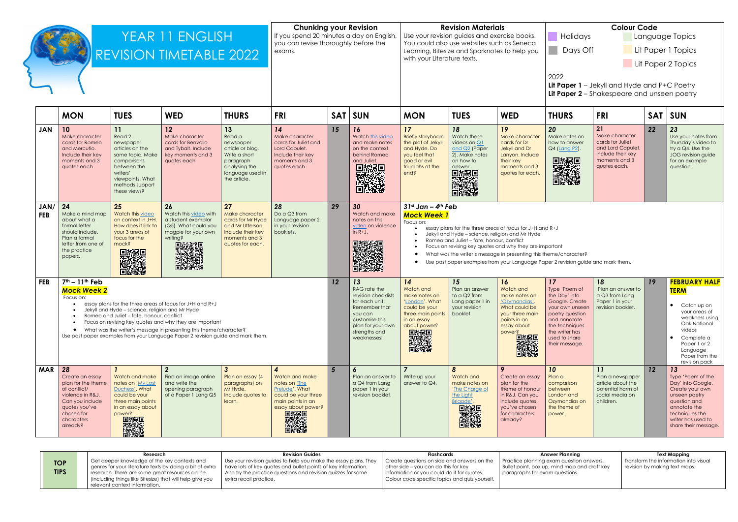|                                                                                                                                           |                                                                                                                     | <b>Colour Code</b> |                                                             |                                                                                                                            |  |  |  |  |
|-------------------------------------------------------------------------------------------------------------------------------------------|---------------------------------------------------------------------------------------------------------------------|--------------------|-------------------------------------------------------------|----------------------------------------------------------------------------------------------------------------------------|--|--|--|--|
| Holidays<br>Days Off<br>2022<br><b>Lit Paper 1</b> – Jekyll and Hyde and P+C Poetry<br><b>Lit Paper 2</b> – Shakespeare and unseen poetry |                                                                                                                     |                    | Language Topics<br>Lit Paper 1 Topics<br>Lit Paper 2 Topics |                                                                                                                            |  |  |  |  |
| THURS                                                                                                                                     | <b>FRI</b>                                                                                                          | <b>SAT</b>         |                                                             | <b>SUN</b>                                                                                                                 |  |  |  |  |
| 20<br>Make notes on<br>how to answer<br>Q4 (Lang P2).                                                                                     | 21<br>Make character<br>cards for Juliet<br>and Lord Capulet.<br>Include their key<br>moments and 3<br>quotes each. | 22                 |                                                             | 23<br>Use your notes from<br>Thursday's video to<br>try a Q4. Use the<br>JOG revision guide<br>for an example<br>question. |  |  |  |  |
| $R+J$<br>ortant<br>eme/character?<br>er 2 revision guide and mark them.                                                                   |                                                                                                                     |                    |                                                             |                                                                                                                            |  |  |  |  |
| 17                                                                                                                                        | 18                                                                                                                  | 19                 |                                                             | <b>FEBRUARY HALF</b>                                                                                                       |  |  |  |  |

| YEAR 11 ENGLISH<br><b>REVISION TIMETABLE 2022</b> |                                                                                                                                                                                                                                                                                                                                                                                                                                                                                                                                                                                                                              |                                                                                                                                                                   | <b>Chunking your Revision</b><br>If you spend 20 minutes a day on English,<br>you can revise thoroughly before the<br>exams.                                                                                                                                                 |                                                                                                                                  |                                                                                                                                                    | <b>Revision Materials</b><br>Use your revision guides and exercise books.<br>You could also use websites such as Seneca<br>Learning, Bitesize and Sparknotes to help you<br>with your Literature texts. |                                                                                                                                                                |                                                                                                                                         | <b>Colour Code</b><br>Holidays<br>Language Top<br>Days Off<br>Lit Paper 1 Top<br>Lit Paper 2 Top<br>2022<br>Lit Paper 1 - Jekyll and Hyde and P+C Poe<br>Lit Paper 2 - Shakespeare and unseen por                                                                                                                                                                                                                                      |                                                                                                                                             |                                                                                                                                                                                     |                                                                                                                     |            |                                                                                                                           |
|---------------------------------------------------|------------------------------------------------------------------------------------------------------------------------------------------------------------------------------------------------------------------------------------------------------------------------------------------------------------------------------------------------------------------------------------------------------------------------------------------------------------------------------------------------------------------------------------------------------------------------------------------------------------------------------|-------------------------------------------------------------------------------------------------------------------------------------------------------------------|------------------------------------------------------------------------------------------------------------------------------------------------------------------------------------------------------------------------------------------------------------------------------|----------------------------------------------------------------------------------------------------------------------------------|----------------------------------------------------------------------------------------------------------------------------------------------------|---------------------------------------------------------------------------------------------------------------------------------------------------------------------------------------------------------|----------------------------------------------------------------------------------------------------------------------------------------------------------------|-----------------------------------------------------------------------------------------------------------------------------------------|----------------------------------------------------------------------------------------------------------------------------------------------------------------------------------------------------------------------------------------------------------------------------------------------------------------------------------------------------------------------------------------------------------------------------------------|---------------------------------------------------------------------------------------------------------------------------------------------|-------------------------------------------------------------------------------------------------------------------------------------------------------------------------------------|---------------------------------------------------------------------------------------------------------------------|------------|---------------------------------------------------------------------------------------------------------------------------|
|                                                   | <b>MON</b>                                                                                                                                                                                                                                                                                                                                                                                                                                                                                                                                                                                                                   | <b>TUES</b>                                                                                                                                                       | <b>WED</b>                                                                                                                                                                                                                                                                   | <b>THURS</b>                                                                                                                     | <b>FRI</b>                                                                                                                                         | <b>SAT</b>                                                                                                                                                                                              | <b>SUN</b>                                                                                                                                                     | <b>MON</b>                                                                                                                              | <b>TUES</b>                                                                                                                                                                                                                                                                                                                                                                                                                            | <b>WED</b>                                                                                                                                  | <b>THURS</b>                                                                                                                                                                        | <b>FRI</b>                                                                                                          | <b>SAT</b> | <b>SUN</b>                                                                                                                |
| <b>JAN</b>                                        | 10<br>Make character<br>cards for Romeo<br>and Mercutio.<br>Include their key<br>moments and 3<br>quotes each.                                                                                                                                                                                                                                                                                                                                                                                                                                                                                                               | 11<br>Read 2<br>newspaper<br>articles on the<br>same topic. Make<br>comparisons<br>between the<br>writers'<br>viewpoints. What<br>methods support<br>these views? | 12<br>Make character<br>cards for Benvolio<br>and Tybalt. Include<br>key moments and 3<br>quotes each                                                                                                                                                                        | 13<br>Read a<br>newspaper<br>article or blog.<br>Write a short<br>paragraph<br>analysing the<br>language used in<br>the article. | 14<br>Make character<br>cards for Juliet and<br>Lord Capulet.<br>Include their key<br>moments and 3<br>quotes each.                                | 15                                                                                                                                                                                                      | 16<br>Watch this video<br>and make notes<br>on the context<br>behind Romeo<br>and Juliet.<br>D. Service Service                                                | 17<br><b>Briefly storyboard</b><br>the plot of Jekyll<br>and Hyde. Do<br>you feel that<br>aood or evil<br>triumphs at the<br>end?       | 18<br>Watch these<br>videos on Q1<br>and Q2 (Paper<br>2). Make notes<br>on how to<br>enswer<br>回报票<br>回报案                                                                                                                                                                                                                                                                                                                              | 19<br>Make character<br>cards for Dr<br>Jekyll and Dr<br>Lanyon. Include<br>their key<br>moments and 3<br>quotes for each.                  | 20<br>Make notes on<br>how to answer<br>Q4 (Lang P2).<br>D. Second Property                                                                                                         | 21<br>Make character<br>cards for Juliet<br>and Lord Capulet.<br>Include their key<br>moments and 3<br>quotes each. | 22         | 23<br>Use yo<br>Thursd<br>try a Q<br>JOG re<br>for an<br>questio                                                          |
| JAN/<br><b>FEB</b>                                | 24<br>25<br>26<br>27<br>28<br>Watch this video<br>Watch this video with<br>Do a Q3 from<br>Make a mind map<br>Make character<br>on context in J+H.<br>about what a<br>a student exemplar<br>cards for Mr Hyde<br>Language paper 2<br>formal letter<br>How does it link to<br>(Q5). What could you<br>in your revision<br>and Mr Utterson.<br>should include.<br>your 3 areas of<br>magpie for your own<br>Include their key<br>booklets.<br>focus for the<br>Plan a formal<br>writina?<br>moments and 3<br>letter from one of<br>mock?<br>quotes for each.<br>■参数调<br>※※※数<br>the practice<br>uring<br>Line<br>papers.<br>深葉 |                                                                                                                                                                   |                                                                                                                                                                                                                                                                              |                                                                                                                                  |                                                                                                                                                    |                                                                                                                                                                                                         | 30<br>Watch and make<br>notes on this<br>video on violence<br>in $R+J$ .                                                                                       | Focus on:                                                                                                                               | $31st$ Jan - 4 <sup>th</sup> Feb<br><b>Mock Week 1</b><br>essay plans for the three areas of focus for J+H and R+J<br>Jekyll and Hyde - science, religion and Mr Hyde<br>Romeo and Juliet - fate, honour, conflict<br>Focus on revising key quotes and why they are important<br>What was the writer's message in presenting this theme/character?<br>Use past paper examples from your Language Paper 2 revision guide and mark them. |                                                                                                                                             |                                                                                                                                                                                     |                                                                                                                     |            |                                                                                                                           |
| <b>FEB</b>                                        | $7th - 11th$ Feb<br><b>Mock Week 2</b><br>Focus on:<br>$\bullet$                                                                                                                                                                                                                                                                                                                                                                                                                                                                                                                                                             | Jekyll and Hyde - science, religion and Mr Hyde<br>Romeo and Juliet - fate, honour, conflict                                                                      | essay plans for the three areas of focus for J+H and R+J<br>Focus on revising key quotes and why they are important<br>What was the writer's message in presenting this theme/character?<br>Use past paper examples from your Language Paper 2 revision guide and mark them. |                                                                                                                                  |                                                                                                                                                    | 12                                                                                                                                                                                                      | 13<br>RAG rate the<br>revision checklists<br>for each unit.<br>Remember that<br>you can<br>customise this<br>plan for your own<br>strengths and<br>weaknesses! | 14<br>Watch and<br>make notes on<br>'London'. What<br>could be your<br>three main points<br>in an essay<br>about power?<br>D. September | 15<br>Plan an answer<br>to a Q2 from<br>Lang paper 1 in<br>vour revision<br>booklet.                                                                                                                                                                                                                                                                                                                                                   | 16<br>Watch and<br>make notes on<br>'Ozymandias'<br>What could be<br>your three main<br>points in an<br>essay about<br>power?<br>PASSES     | 17<br>Type 'Poem of<br>the Day' into<br>Google. Create<br>your own unseen<br>poetry question<br>and annotate<br>the techniques<br>the writer has<br>used to share<br>their message. | 18<br>Plan an answer to<br>a Q3 from Lang<br>Paper 1 in your<br>revision booklet.                                   | 19         | <b>FEBRI</b><br><b>TERM</b><br>$\overline{C}$<br>$\bullet$<br>O<br>vi<br>$\mathsf{C}$<br>$\bullet$<br>Ρc<br>Lc<br>P<br>re |
| <b>MAR</b>                                        | 28<br>Create an essay<br>plan for the theme<br>of conflict/<br>violence in R&J.<br>Can you include<br>quotes you've<br>chosen for<br>characters<br>already?                                                                                                                                                                                                                                                                                                                                                                                                                                                                  | Watch and make<br>notes on 'My Last<br>Duchess', What<br>could be your<br>three main points<br>in an essay about<br>power?<br>D. Separate                         | $\overline{2}$<br>Find an image online<br>and write the<br>opening paragraph<br>of a Paper 1 Lang Q5                                                                                                                                                                         | $\mathbf{3}$<br>Plan an essay (4<br>paragraphs) on<br>Mr Hyde.<br>Include quotes to<br>learn.                                    | $\overline{4}$<br>Watch and make<br>notes on 'The<br>Prelude'. What<br>could be your three<br>main points in an<br>essay about power?<br>D. Second | $5\overline{)}$                                                                                                                                                                                         | $\boldsymbol{6}$<br>Plan an answer to<br>a Q4 from Lang<br>paper 1 in your<br>revision booklet.                                                                | Write up your<br>answer to Q4.                                                                                                          | $\boldsymbol{8}$<br>Watch and<br>make notes on<br>'The Charge of<br>the Light<br>Brigade'.<br>  天然                                                                                                                                                                                                                                                                                                                                     | 9<br>Create an essay<br>plan for the<br>theme of honour<br>in R&J. Can you<br>include quotes<br>you've chosen<br>for characters<br>already? | 10<br>Plan a<br>comparison<br>between<br>London and<br>Ozymandias on<br>the theme of<br>power.                                                                                      | 11<br>Plan a newspaper<br>article about the<br>potential harm of<br>social media on<br>children.                    | 12         | 13<br>Type 'f<br>Day' ir<br>Create<br>unseer<br>questio<br>annoto<br>techni<br>writer <b>h</b><br>share t                 |

| $\mathbf{L}$<br>Type 'Poem of<br>the Day' into<br>Google. Create<br>your own unseen<br>poetry question<br>and annotate<br>the techniques<br>the writer has<br>used to share<br>their message. | 10<br>Plan an answer to<br>a Q3 from Lang<br>Paper 1 in your<br>revision booklet.                | $\mathbf{I}$ | <u>FEBRUART HALF</u><br><b>TERM</b><br>Catch up on<br>your areas of<br>weakness using<br>Oak National<br>videos<br>Complete a<br>Paper 1 or 2<br>Language<br>Paper from the                       |
|-----------------------------------------------------------------------------------------------------------------------------------------------------------------------------------------------|--------------------------------------------------------------------------------------------------|--------------|---------------------------------------------------------------------------------------------------------------------------------------------------------------------------------------------------|
| 10<br>Plan a<br>comparison<br>between<br>London and<br>Ozymandias on<br>the theme of<br>power.                                                                                                | 11<br>Plan a newspaper<br>article about the<br>potential harm of<br>social media on<br>children. | 12           | revision pack<br>13<br>Type 'Poem of the<br>Day' into Google.<br>Create your own<br>unseen poetry<br>question and<br>annotate the<br>techniques the<br>writer has used to<br>share their message. |

|                           | Research                                                                                                                                       | <b>Revision Guides</b>                                                                                                             | Flashcards                                                                                   | Answer Plannina                                                                            | <b>Text Mapping</b>                                                    |  |  |
|---------------------------|------------------------------------------------------------------------------------------------------------------------------------------------|------------------------------------------------------------------------------------------------------------------------------------|----------------------------------------------------------------------------------------------|--------------------------------------------------------------------------------------------|------------------------------------------------------------------------|--|--|
| <b>TOP</b><br><b>TIPS</b> | Get deeper knowledge of the key contexts and<br>I genres for your literature texts by doing a bit of extra                                     | Use your revision guides to help you make the essay plans. They<br>A have lots of key quotes and bullet points of key information. | Create questions on side and answers on the<br>$\vert$ other side – you can do this for key  | I Practice planning exam question answers.<br>Bullet point, box up, mind map and draft key | Transform the information into visual<br>revision by making text maps. |  |  |
|                           | research. There are some great resources online<br>(including things like Bitesize) that will help give you<br>l relevant context information. | Also try the practice questions and revision quizzes for some<br>extra recall practice.                                            | information or you could do it for quotes.<br>Colour code specific topics and quiz yourself. | paragraphs for exam questions.                                                             |                                                                        |  |  |